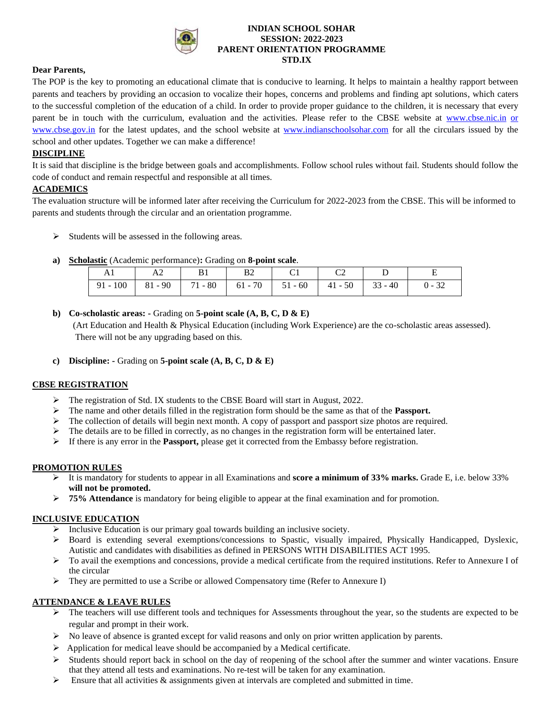

#### **INDIAN SCHOOL SOHAR SESSION: 2022-2023 PARENT ORIENTATION PROGRAMME STD.IX**

#### **Dear Parents,**

The POP is the key to promoting an educational climate that is conducive to learning. It helps to maintain a healthy rapport between parents and teachers by providing an occasion to vocalize their hopes, concerns and problems and finding apt solutions, which caters to the successful completion of the education of a child. In order to provide proper guidance to the children, it is necessary that every parent be in touch with the curriculum, evaluation and the activities. Please refer to the CBSE website at [www.cbse.nic.in](http://www.cbse.nic.in/) or www.cbse.gov.in for the latest updates, and the school website at [www.indianschoolsohar.com](http://www.indianschoolsohar.com/) for all the circulars issued by the school and other updates. Together we can make a difference!

# **DISCIPLINE**

It is said that discipline is the bridge between goals and accomplishments. Follow school rules without fail. Students should follow the code of conduct and remain respectful and responsible at all times.

#### **ACADEMICS**

The evaluation structure will be informed later after receiving the Curriculum for 2022-2023 from the CBSE. This will be informed to parents and students through the circular and an orientation programme.

- ➢ Students will be assessed in the following areas.
- **a) Scholastic** (Academic performance)**:** Grading on **8-point scale**.

|  | - B1                                                                          | <b>B2</b> | $C1$ $C2$ |  |  |
|--|-------------------------------------------------------------------------------|-----------|-----------|--|--|
|  | 91 - 100   81 - 90   71 - 80   61 - 70   51 - 60   41 - 50   33 - 40   0 - 32 |           |           |  |  |

**b) Co-scholastic areas: -** Grading on **5-point scale (A, B, C, D & E)**

 (Art Education and Health & Physical Education (including Work Experience) are the co-scholastic areas assessed). There will not be any upgrading based on this.

**c) Discipline: -** Grading on **5-point scale (A, B, C, D & E)**

# **CBSE REGISTRATION**

- ➢ The registration of Std. IX students to the CBSE Board will start in August, 2022.
- ➢ The name and other details filled in the registration form should be the same as that of the **Passport.**
- $\triangleright$  The collection of details will begin next month. A copy of passport and passport size photos are required.
- ➢ The details are to be filled in correctly, as no changes in the registration form will be entertained later.
- $\triangleright$  If there is any error in the **Passport**, please get it corrected from the Embassy before registration.

# **PROMOTION RULES**

- ➢ It is mandatory for students to appear in all Examinations and **score a minimum of 33% marks.** Grade E, i.e. below 33% **will not be promoted.**
- ➢ **75% Attendance** is mandatory for being eligible to appear at the final examination and for promotion.

# **INCLUSIVE EDUCATION**

- ➢ Inclusive Education is our primary goal towards building an inclusive society.
- ➢ Board is extending several exemptions/concessions to Spastic, visually impaired, Physically Handicapped, Dyslexic, Autistic and candidates with disabilities as defined in PERSONS WITH DISABILITIES ACT 1995.
- ➢ To avail the exemptions and concessions, provide a medical certificate from the required institutions. Refer to Annexure I of the circular
- ➢ They are permitted to use a Scribe or allowed Compensatory time (Refer to Annexure I)

# **ATTENDANCE & LEAVE RULES**

- $\triangleright$  The teachers will use different tools and techniques for Assessments throughout the year, so the students are expected to be regular and prompt in their work.
- ➢ No leave of absence is granted except for valid reasons and only on prior written application by parents.
- ➢ Application for medical leave should be accompanied by a Medical certificate.
- $\triangleright$  Students should report back in school on the day of reopening of the school after the summer and winter vacations. Ensure that they attend all tests and examinations. No re-test will be taken for any examination.
- $\triangleright$  Ensure that all activities & assignments given at intervals are completed and submitted in time.